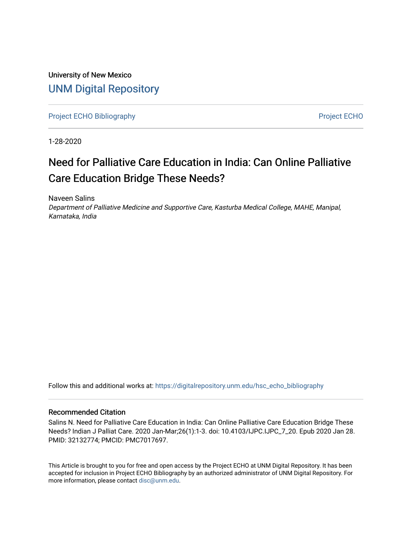University of New Mexico [UNM Digital Repository](https://digitalrepository.unm.edu/) 

[Project ECHO Bibliography](https://digitalrepository.unm.edu/hsc_echo_bibliography) **Project ECHO** 

1-28-2020

# Need for Palliative Care Education in India: Can Online Palliative Care Education Bridge These Needs?

Naveen Salins Department of Palliative Medicine and Supportive Care, Kasturba Medical College, MAHE, Manipal, Karnataka, India

Follow this and additional works at: [https://digitalrepository.unm.edu/hsc\\_echo\\_bibliography](https://digitalrepository.unm.edu/hsc_echo_bibliography?utm_source=digitalrepository.unm.edu%2Fhsc_echo_bibliography%2F170&utm_medium=PDF&utm_campaign=PDFCoverPages)

#### Recommended Citation

Salins N. Need for Palliative Care Education in India: Can Online Palliative Care Education Bridge These Needs? Indian J Palliat Care. 2020 Jan-Mar;26(1):1-3. doi: 10.4103/IJPC.IJPC\_7\_20. Epub 2020 Jan 28. PMID: 32132774; PMCID: PMC7017697.

This Article is brought to you for free and open access by the Project ECHO at UNM Digital Repository. It has been accepted for inclusion in Project ECHO Bibliography by an authorized administrator of UNM Digital Repository. For more information, please contact [disc@unm.edu](mailto:disc@unm.edu).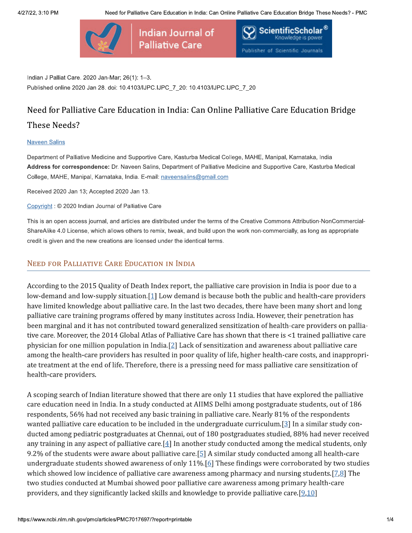



Indian J Palliat Care. 2020 Jan-Mar; 26(1): 1-3. Published online 2020 Jan 28. doi: 10.4103/IJPC.IJPC\_7\_20: 10.4103/IJPC.IJPC\_7\_20

# Need for Palliative Care Education in India: Can Online Palliative Care Education Bridge

# These Needs?

#### **Naveen Salins**

Department of Palliative Medicine and Supportive Care, Kasturba Medical College, MAHE, Manipal, Karnataka, India Address for correspondence: Dr. Naveen Salins, Department of Palliative Medicine and Supportive Care, Kasturba Medical College, MAHE, Manipal, Karnataka, India. E-mail: naveensalins@gmail.com

Received 2020 Jan 13; Accepted 2020 Jan 13.

Copyright: © 2020 Indian Journal of Palliative Care

This is an open access journal, and articles are distributed under the terms of the Creative Commons Attribution-NonCommercial-ShareAlike 4.0 License, which allows others to remix, tweak, and build upon the work non-commercially, as long as appropriate credit is given and the new creations are licensed under the identical terms.

#### **NEED FOR PALLIATIVE CARE EDUCATION IN INDIA**

According to the 2015 Quality of Death Index report, the palliative care provision in India is poor due to a low-demand and low-supply situation. $[1]$  Low demand is because both the public and health-care providers have limited knowledge about palliative care. In the last two decades, there have been many short and long palliative care training programs offered by many institutes across India. However, their penetration has been marginal and it has not contributed toward generalized sensitization of health-care providers on palliative care. Moreover, the 2014 Global Atlas of Palliative Care has shown that there is <1 trained palliative care physician for one million population in India.[2] Lack of sensitization and awareness about palliative care among the health-care providers has resulted in poor quality of life, higher health-care costs, and inappropriate treatment at the end of life. Therefore, there is a pressing need for mass palliative care sensitization of health-care providers.

A scoping search of Indian literature showed that there are only 11 studies that have explored the palliative care education need in India. In a study conducted at AIIMS Delhi among postgraduate students, out of 186 respondents, 56% had not received any basic training in palliative care. Nearly 81% of the respondents wanted palliative care education to be included in the undergraduate curriculum.[ $3$ ] In a similar study conducted among pediatric postgraduates at Chennai, out of 180 postgraduates studied, 88% had never received any training in any aspect of palliative care. [ $4$ ] In another study conducted among the medical students, only 9.2% of the students were aware about palliative care.  $[5]$  A similar study conducted among all health-care undergraduate students showed awareness of only  $11\%$ . [6] These findings were corroborated by two studies which showed low incidence of palliative care awareness among pharmacy and nursing students.  $[7,8]$  The two studies conducted at Mumbai showed poor palliative care awareness among primary health-care providers, and they significantly lacked skills and knowledge to provide palliative care.[9,10]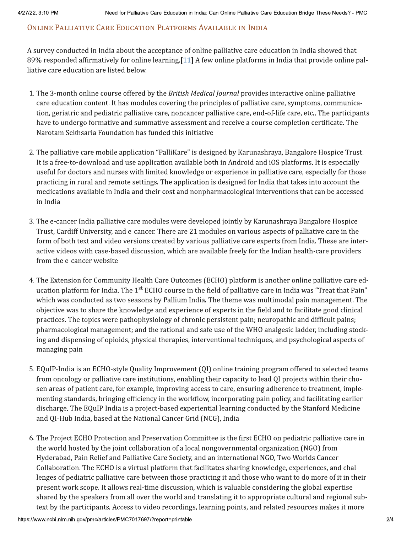### ONLINE PALLIATIVE CARE EDUCATION PLATFORMS AVAILABLE IN INDIA

A survey conducted in India about the acceptance of online palliative care education in India showed that 89% responded affirmatively for online learning.  $[11]$  A few online platforms in India that provide online palliative care education are listed below.

- 1. The 3-month online course offered by the British Medical Journal provides interactive online palliative care education content. It has modules covering the principles of palliative care, symptoms, communication, geriatric and pediatric palliative care, noncancer palliative care, end-of-life care, etc., The participants have to undergo formative and summative assessment and receive a course completion certificate. The Narotam Sekhsaria Foundation has funded this initiative
- 2. The palliative care mobile application "PalliKare" is designed by Karunashraya, Bangalore Hospice Trust. It is a free-to-download and use application available both in Android and iOS platforms. It is especially useful for doctors and nurses with limited knowledge or experience in palliative care, especially for those practicing in rural and remote settings. The application is designed for India that takes into account the medications available in India and their cost and nonpharmacological interventions that can be accessed in India
- 3. The e-cancer India palliative care modules were developed jointly by Karunashraya Bangalore Hospice Trust, Cardiff University, and e-cancer. There are 21 modules on various aspects of palliative care in the form of both text and video versions created by various palliative care experts from India. These are interactive videos with case-based discussion, which are available freely for the Indian health-care providers from the e-cancer website
- 4. The Extension for Community Health Care Outcomes (ECHO) platform is another online palliative care education platform for India. The 1<sup>st</sup> ECHO course in the field of palliative care in India was "Treat that Pain" which was conducted as two seasons by Pallium India. The theme was multimodal pain management. The objective was to share the knowledge and experience of experts in the field and to facilitate good clinical practices. The topics were pathophysiology of chronic persistent pain; neuropathic and difficult pains; pharmacological management; and the rational and safe use of the WHO analgesic ladder, including stocking and dispensing of opioids, physical therapies, interventional techniques, and psychological aspects of managing pain
- 5. EQuIP-India is an ECHO-style Quality Improvement (QI) online training program offered to selected teams from oncology or palliative care institutions, enabling their capacity to lead OI projects within their chosen areas of patient care, for example, improving access to care, ensuring adherence to treatment, implementing standards, bringing efficiency in the workflow, incorporating pain policy, and facilitating earlier discharge. The EQuIP India is a project-based experiential learning conducted by the Stanford Medicine and QI-Hub India, based at the National Cancer Grid (NCG), India
- 6. The Project ECHO Protection and Preservation Committee is the first ECHO on pediatric palliative care in the world hosted by the joint collaboration of a local nongovernmental organization (NGO) from Hyderabad, Pain Relief and Palliative Care Society, and an international NGO, Two Worlds Cancer Collaboration. The ECHO is a virtual platform that facilitates sharing knowledge, experiences, and challenges of pediatric palliative care between those practicing it and those who want to do more of it in their present work scope. It allows real-time discussion, which is valuable considering the global expertise shared by the speakers from all over the world and translating it to appropriate cultural and regional subtext by the participants. Access to video recordings, learning points, and related resources makes it more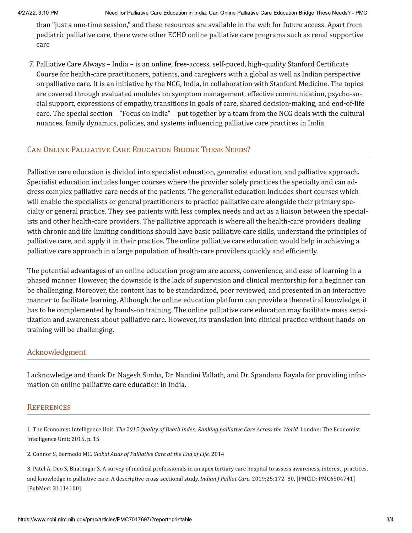than "just a one-time session," and these resources are available in the web for future access. Apart from pediatric palliative care, there were other ECHO online palliative care programs such as renal supportive care

7. Palliative Care Always - India - is an online, free-access, self-paced, high-quality Stanford Certificate Course for health-care practitioners, patients, and caregivers with a global as well as Indian perspective on palliative care. It is an initiative by the NCG, India, in collaboration with Stanford Medicine. The topics are covered through evaluated modules on symptom management, effective communication, psycho-social support, expressions of empathy, transitions in goals of care, shared decision-making, and end-of-life care. The special section – "Focus on India" – put together by a team from the NCG deals with the cultural nuances, family dynamics, policies, and systems influencing palliative care practices in India.

# CAN ONLINE PALLIATIVE CARE EDUCATION BRIDGE THESE NEEDS?

Palliative care education is divided into specialist education, generalist education, and palliative approach. Specialist education includes longer courses where the provider solely practices the specialty and can address complex palliative care needs of the patients. The generalist education includes short courses which will enable the specialists or general practitioners to practice palliative care alongside their primary specialty or general practice. They see patients with less complex needs and act as a liaison between the specialists and other health-care providers. The palliative approach is where all the health-care providers dealing with chronic and life-limiting conditions should have basic palliative care skills, understand the principles of palliative care, and apply it in their practice. The online palliative care education would help in achieving a palliative care approach in a large population of health-care providers quickly and efficiently.

The potential advantages of an online education program are access, convenience, and ease of learning in a phased manner. However, the downside is the lack of supervision and clinical mentorship for a beginner can be challenging. Moreover, the content has to be standardized, peer reviewed, and presented in an interactive manner to facilitate learning. Although the online education platform can provide a theoretical knowledge, it has to be complemented by hands-on training. The online palliative care education may facilitate mass sensitization and awareness about palliative care. However, its translation into clinical practice without hands-on training will be challenging.

## Acknowledgment

I acknowledge and thank Dr. Nagesh Simha, Dr. Nandini Vallath, and Dr. Spandana Ravala for providing information on online palliative care education in India.

#### **REFERENCES**

1. The Economist Intelligence Unit. The 2015 Quality of Death Index: Ranking palliative Care Across the World. London: The Economist Intelligence Unit; 2015. p. 15.

2. Connor S, Bermedo MC. Global Atlas of Palliative Care at the End of Life. 2014

3. Patel A, Deo S, Bhatnagar S. A survey of medical professionals in an apex tertiary care hospital to assess awareness, interest, practices, and knowledge in palliative care: A descriptive cross-sectional study. Indian J Palliat Care. 2019;25:172-80. [PMCID: PMC6504741] [PubMed: 31114100]